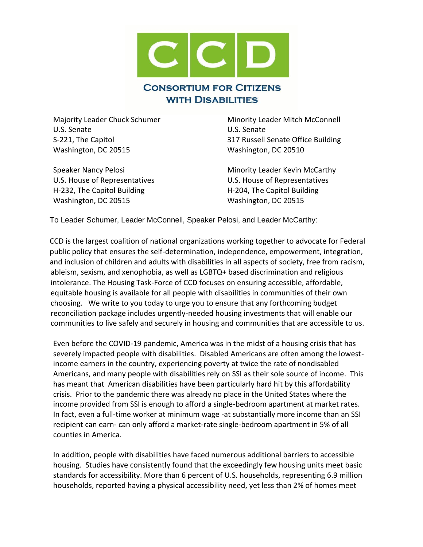

U.S. Senate U.S. Senate Washington, DC 20515 Washington, DC 20510

U.S. House of Representatives U.S. House of Representatives H-232, The Capitol Building The Capitol Building H-204, The Capitol Building Washington, DC 20515 Washington, DC 20515

Majority Leader Chuck Schumer Minority Leader Mitch McConnell S-221, The Capitol 317 Russell Senate Office Building

Speaker Nancy Pelosi **Minority Leader Kevin McCarthy** 

To Leader Schumer, Leader McConnell, Speaker Pelosi, and Leader McCarthy:

CCD is the largest coalition of national organizations working together to advocate for Federal public policy that ensures the self-determination, independence, empowerment, integration, and inclusion of children and adults with disabilities in all aspects of society, free from racism, ableism, sexism, and xenophobia, as well as LGBTQ+ based discrimination and religious intolerance. The Housing Task-Force of CCD focuses on ensuring accessible, affordable, equitable housing is available for all people with disabilities in communities of their own choosing. We write to you today to urge you to ensure that any forthcoming budget reconciliation package includes urgently-needed housing investments that will enable our communities to live safely and securely in housing and communities that are accessible to us.

Even before the COVID-19 pandemic, America was in the midst of a housing crisis that has severely impacted people with disabilities. Disabled Americans are often among the lowestincome earners in the country, experiencing poverty at twice the rate of nondisabled Americans, and many people with disabilities rely on SSI as their sole source of income. This has meant that American disabilities have been particularly hard hit by this affordability crisis. Prior to the pandemic there was already no place in the United States where the income provided from SSI is enough to afford a single-bedroom apartment at market rates. In fact, even a full-time worker at minimum wage -at substantially more income than an SSI recipient can earn- can only afford a market-rate single-bedroom apartment in 5% of all counties in America.

In addition, people with disabilities have faced numerous additional barriers to accessible housing. Studies have consistently found that the exceedingly few housing units meet basic standards for accessibility. More than 6 percent of U.S. households, representing 6.9 million households, reported having a physical accessibility need, yet less than 2% of homes meet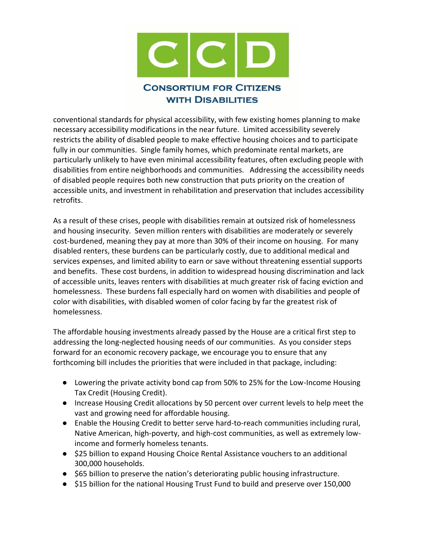

conventional standards for physical accessibility, with few existing homes planning to make necessary accessibility modifications in the near future. Limited accessibility severely restricts the ability of disabled people to make effective housing choices and to participate fully in our communities. Single family homes, which predominate rental markets, are particularly unlikely to have even minimal accessibility features, often excluding people with disabilities from entire neighborhoods and communities. Addressing the accessibility needs of disabled people requires both new construction that puts priority on the creation of accessible units, and investment in rehabilitation and preservation that includes accessibility retrofits.

As a result of these crises, people with disabilities remain at outsized risk of homelessness and housing insecurity. Seven million renters with disabilities are moderately or severely cost-burdened, meaning they pay at more than 30% of their income on housing. For many disabled renters, these burdens can be particularly costly, due to additional medical and services expenses, and limited ability to earn or save without threatening essential supports and benefits. These cost burdens, in addition to widespread housing discrimination and lack of accessible units, leaves renters with disabilities at much greater risk of facing eviction and homelessness. These burdens fall especially hard on women with disabilities and people of color with disabilities, with disabled women of color facing by far the greatest risk of homelessness.

The affordable housing investments already passed by the House are a critical first step to addressing the long-neglected housing needs of our communities. As you consider steps forward for an economic recovery package, we encourage you to ensure that any forthcoming bill includes the priorities that were included in that package, including:

- Lowering the private activity bond cap from 50% to 25% for the Low-Income Housing Tax Credit (Housing Credit).
- Increase Housing Credit allocations by 50 percent over current levels to help meet the vast and growing need for affordable housing.
- Enable the Housing Credit to better serve hard-to-reach communities including rural, Native American, high-poverty, and high-cost communities, as well as extremely lowincome and formerly homeless tenants.
- \$25 billion to expand Housing Choice Rental Assistance vouchers to an additional 300,000 households.
- \$65 billion to preserve the nation's deteriorating public housing infrastructure.
- \$15 billion for the national Housing Trust Fund to build and preserve over 150,000